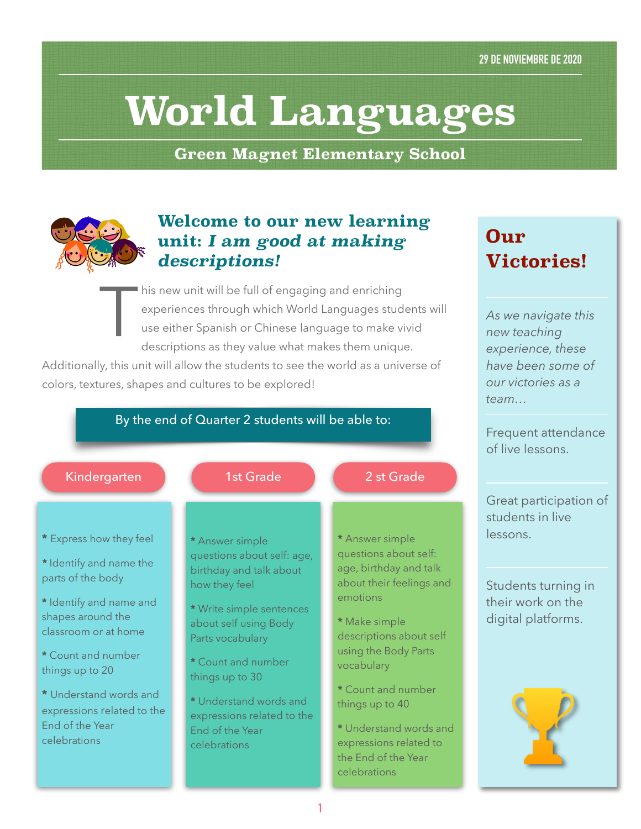# **World Languages**

**Green Magnet Elementary School**



## **Welcome to our new learning unit:** *I am good at making descriptions!*

This new unit will be full of engaging and enriching<br>experiences through which World Languages stud<br>use either Spanish or Chinese language to make vi<br>descriptions as they value what makes them unique experiences through which World Languages students will use either Spanish or Chinese language to make vivid descriptions as they value what makes them unique.

Additionally, this unit will allow the students to see the world as a universe of colors, textures, shapes and cultures to be explored!

### By the end of Quarter 2 students will be able to:



- **\*** Express how they feel
- *\** Identify and name the parts of the body
- **\*** Identify and name and shapes around the classroom or at home
- **\*** Count and number things up to 20
- **\*** Understand words and expressions related to the End of the Year celebrations
- **\*** Answer simple questions about self: age, birthday and talk about how they feel
- **\*** Write simple sentences about self using Body Parts vocabulary
- **\*** Count and number things up to 30

**\*** Understand words and expressions related to the End of the Year celebrations

- **\*** Answer simple questions about self: age, birthday and talk about their feelings and emotions
- **\*** Make simple descriptions about self using the Body Parts vocabulary
- **\*** Count and number things up to 40
- **\*** Understand words and expressions related to the End of the Year celebrations

# **Our Victories!**

*As we navigate this new teaching experience, these have been some of our victories as a team…* 

Frequent attendance of live lessons.

Great participation of students in live lessons.

Students turning in their work on the digital platforms.